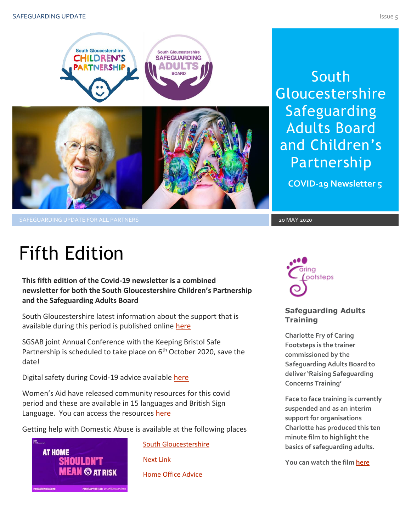

South Gloucestershire Safeguarding Adults Board and Children's Partnership

**COVID-19 Newsletter 5**

SAFEGUARDING UPDATE FOR ALL PARTNERS AND SAFEGUARDING UPDATE FOR ALL PARTNERS AND LOCAL AND LOCAL AND LOCAL AN

# Fifth Edition

**This fifth edition of the Covid-19 newsletter is a combined newsletter for both the South Gloucestershire Children's Partnership and the Safeguarding Adults Board**

South Gloucestershire latest information about the support that is available during this period is published online [here](https://beta.southglos.gov.uk/health-and-social-care/health-services/covid19/)

SGSAB joint Annual Conference with the Keeping Bristol Safe Partnership is scheduled to take place on 6<sup>th</sup> October 2020, save the date!

Digital safety during Covid-19 advice available [here](http://sites.southglos.gov.uk/safeguarding/wp-content/uploads/sites/221/2016/01/Digital-safety-during-COVID-19-pdf.pdf)

Women's Aid have released community resources for this covid period and these are available in 15 languages and British Sign Language. You can access the resources [here](https://www.womensaid.org.uk/covid-19-coronavirus-safety-and-support-resources/)

Getting help with Domestic Abuse is available at the following places



[South Gloucestershire](https://www.southglos.gov.uk/community-and-living/community-safety/domestic-abuse-violence/domestic-violence-abuse/) [Next Link](https://www.nextlinkhousing.co.uk/southglos/)

[Home Office](https://www.gov.uk/government/publications/coronavirus-covid-19-and-domestic-abuse/coronavirus-covid-19-support-for-victims-of-domestic-abuse) Advice



### **Safeguarding Adults Training**

**Charlotte Fry of Caring Footsteps is the trainer commissioned by the Safeguarding Adults Board to deliver 'Raising Safeguarding Concerns Training'**

Face to face training is currently **suspended and as an interim support for organisations Charlotte has produced this ten minute film to highlight the basics of safeguarding adults.**

**You can watch the fil[m here](https://www.youtube.com/watch?v=6c3XeeOllek&feature=youtu.be)**